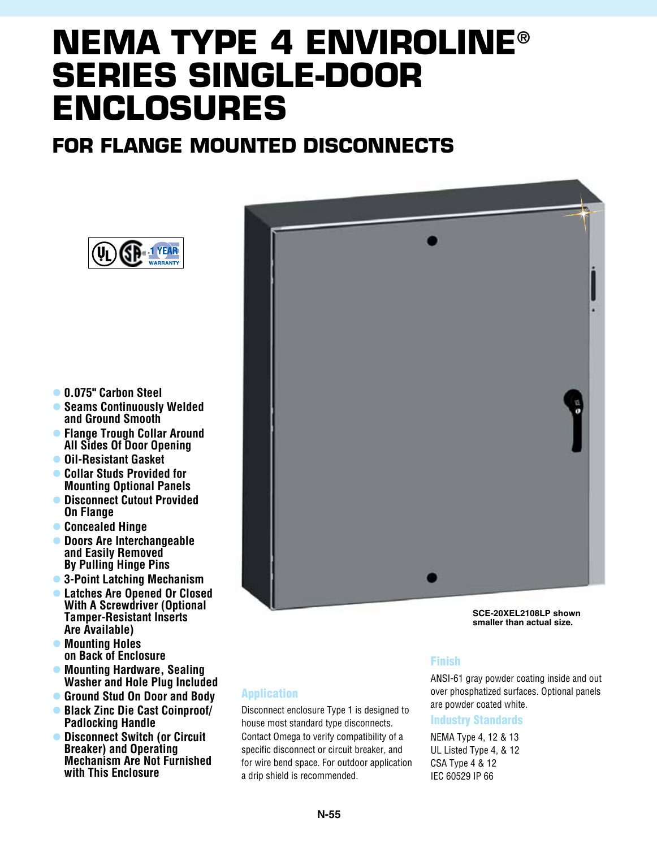# **NEMA TYPE 4 ENVIROLINE® SERIES SINGLE-DOOR ENCLOSURES**

## **FOR FLANGE MOUNTED DISCONNECTS**



- l **0.075" Carbon Steel**
- **Seams Continuously Welded and Ground Smooth**
- **Flange Trough Collar Around All Sides Of Door Opening**
- l **Oil-Resistant Gasket**
- **Collar Studs Provided for Mounting Optional Panels**
- **Disconnect Cutout Provided On Flange**
- l **Concealed Hinge**
- l **Doors Are Interchangeable and Easily Removed By Pulling Hinge Pins**
- l **3-Point Latching Mechanism**
- l **Latches Are Opened Or Closed With A Screwdriver (Optional Tamper-Resistant Inserts Are Available)**
- $\bullet$  **Mounting Holes on Back of Enclosure**
- **Mounting Hardware, Sealing Washer and Hole Plug Included**
- l **Ground Stud On Door and Body** l **Black Zinc Die Cast Coinproof/ Padlocking Handle**
- l **Disconnect Switch (or Circuit Breaker) and Operating Mechanism Are Not Furnished with This Enclosure**



**SCE-20XEL2108LP shown smaller than actual size.**

#### Application

Disconnect enclosure Type 1 is designed to house most standard type disconnects. Contact Omega to verify compatibility of a specific disconnect or circuit breaker, and for wire bend space. For outdoor application a drip shield is recommended.

#### Finish

ANSI-61 gray powder coating inside and out over phosphatized surfaces. Optional panels are powder coated white.

#### Industry Standards

NEMA Type 4, 12 & 13 UL Listed Type 4, & 12 CSA Type 4 & 12 IEC 60529 IP 66